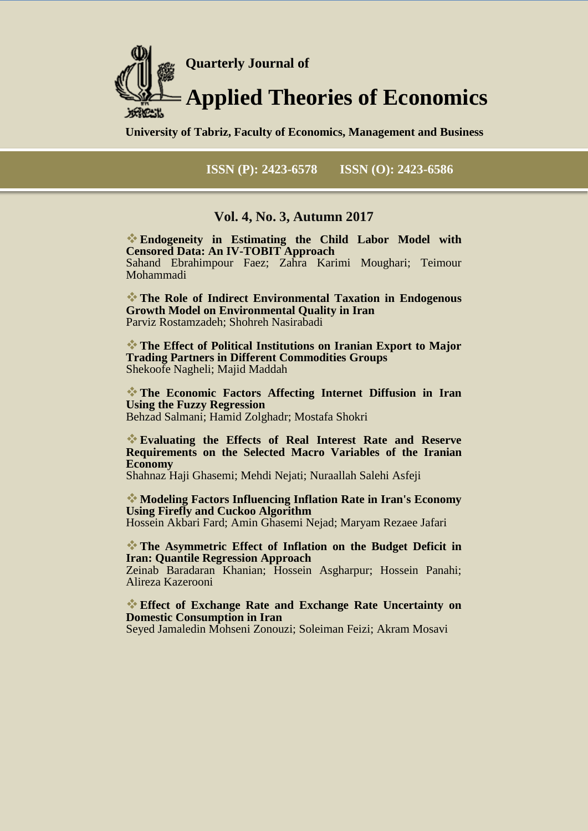

**University of Tabriz, Faculty of Economics, Management and Business**

**ISSN (P): 2423-6578 ISSN (O): 2423-6586**

### **Vol. 4, No. 3, Autumn 2017**

**Endogeneity in Estimating the Child Labor Model with Censored Data: An IV-TOBIT Approach** Sahand Ebrahimpour Faez; Zahra Karimi Moughari; Teimour Mohammadi

**The Role of Indirect Environmental Taxation in Endogenous Growth Model on Environmental Quality in Iran** Parviz Rostamzadeh; Shohreh Nasirabadi

**The Effect of Political Institutions on Iranian Export to Major Trading Partners in Different Commodities Groups** Shekoofe Nagheli; Majid Maddah

**The Economic Factors Affecting Internet Diffusion in Iran Using the Fuzzy Regression** Behzad Salmani; Hamid Zolghadr; Mostafa Shokri

**Evaluating the Effects of Real Interest Rate and Reserve Requirements on the Selected Macro Variables of the Iranian Economy**

Shahnaz Haji Ghasemi; Mehdi Nejati; Nuraallah Salehi Asfeji

**Modeling Factors Influencing Inflation Rate in Iran's Economy Using Firefly and Cuckoo Algorithm** Hossein Akbari Fard; Amin Ghasemi Nejad; Maryam Rezaee Jafari

**The Asymmetric Effect of Inflation on the Budget Deficit in Iran: Quantile Regression Approach**

Zeinab Baradaran Khanian; Hossein Asgharpur; Hossein Panahi; Alireza Kazerooni

**Effect of Exchange Rate and Exchange Rate Uncertainty on Domestic Consumption in Iran**

Seyed Jamaledin Mohseni Zonouzi; Soleiman Feizi; Akram Mosavi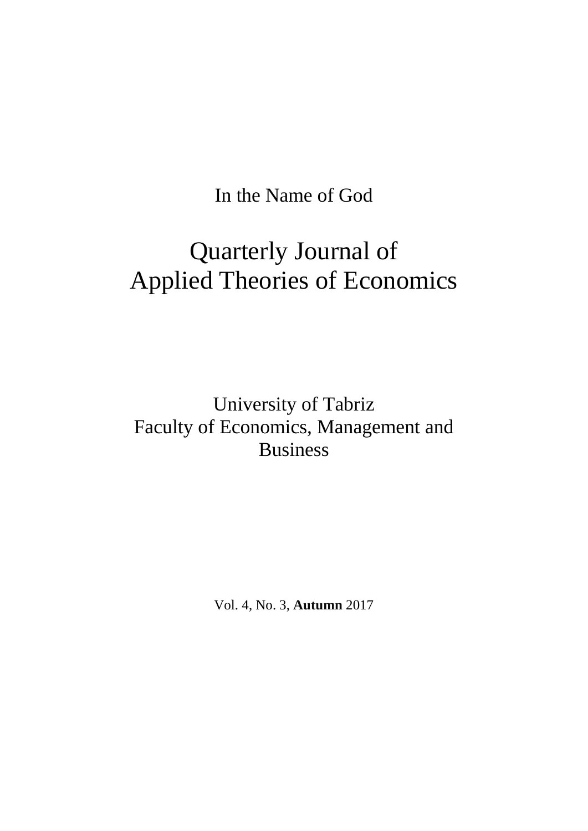In the Name of God

# Quarterly Journal of Applied Theories of Economics

University of Tabriz Faculty of Economics, Management and Business

Vol. 4, No. 3, **Autumn** 2017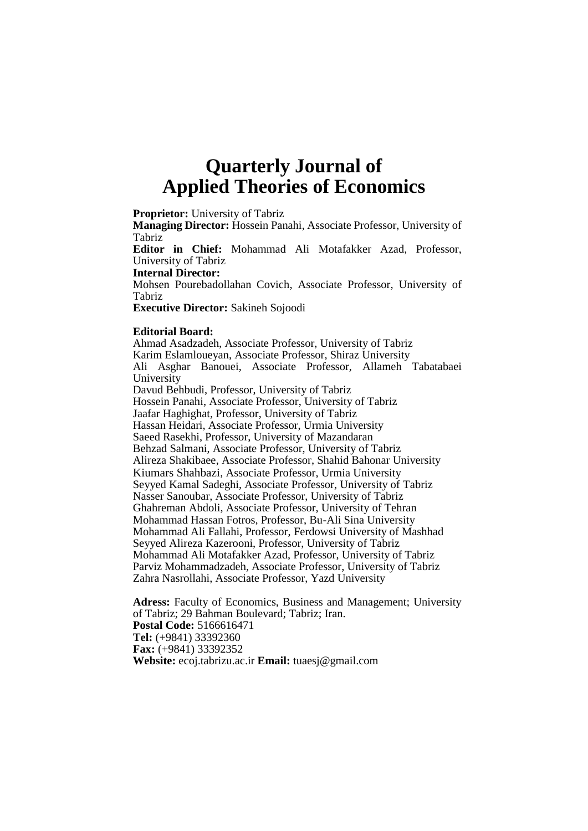# **Quarterly Journal of Applied Theories of Economics**

**Proprietor:** University of Tabriz

**Managing Director:** Hossein Panahi, Associate Professor, University of Tabriz

**Editor in Chief:** Mohammad Ali Motafakker Azad, Professor, University of Tabriz

**Internal Director:** 

Mohsen Pourebadollahan Covich, Associate Professor, University of Tabriz

**Executive Director:** Sakineh Sojoodi

#### **Editorial Board:**

Ahmad Asadzadeh, Associate Professor, University of Tabriz Karim Eslamloueyan, Associate Professor, Shiraz University Ali Asghar Banouei, Associate Professor, Allameh Tabatabaei University Davud Behbudi, Professor, University of Tabriz Hossein Panahi, Associate Professor, University of Tabriz Jaafar Haghighat, Professor, University of Tabriz Hassan Heidari, Associate Professor, Urmia University Saeed Rasekhi, Professor, University of Mazandaran Behzad Salmani, Associate Professor, University of Tabriz Alireza Shakibaee, Associate Professor, Shahid Bahonar University Kiumars Shahbazi, Associate Professor, Urmia University Seyyed Kamal Sadeghi, Associate Professor, University of Tabriz Nasser Sanoubar, Associate Professor, University of Tabriz Ghahreman Abdoli, Associate Professor, University of Tehran Mohammad Hassan Fotros, Professor, Bu-Ali Sina University Mohammad Ali Fallahi, Professor, Ferdowsi University of Mashhad Seyyed Alireza Kazerooni, Professor, University of Tabriz Mohammad Ali Motafakker Azad, Professor, University of Tabriz Parviz Mohammadzadeh, Associate Professor, University of Tabriz Zahra Nasrollahi, Associate Professor, Yazd University

**Adress:** Faculty of Economics, Business and Management; University of Tabriz; 29 Bahman Boulevard; Tabriz; Iran. **Postal Code:** 5166616471 **Tel:** (+9841) 33392360 **Fax:** (+9841) 33392352 **Website:** ecoj.tabrizu.ac.ir **Email:** [tuaesj@gmail.com](mailto:tuaesj@gmail.com)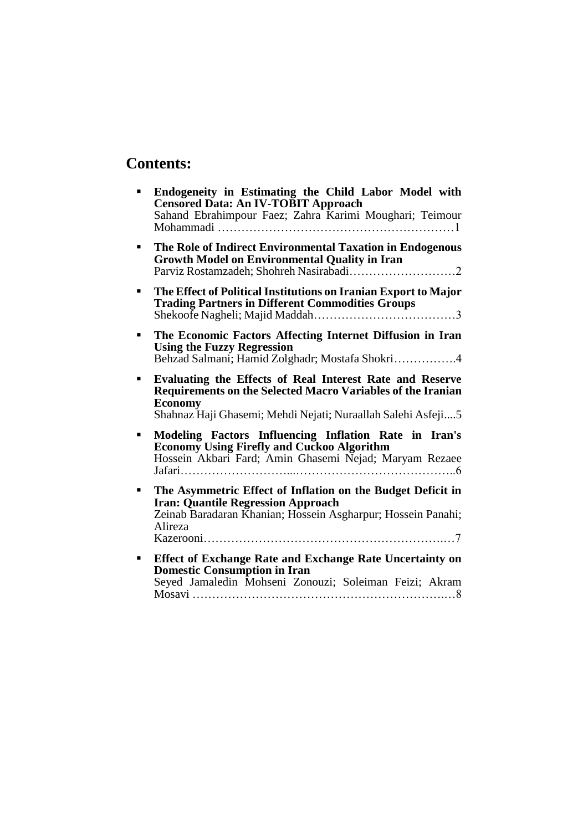# **Contents:**

|   | Endogeneity in Estimating the Child Labor Model with<br><b>Censored Data: An IV-TOBIT Approach</b><br>Sahand Ebrahimpour Faez; Zahra Karimi Moughari; Teimour                                                    |
|---|------------------------------------------------------------------------------------------------------------------------------------------------------------------------------------------------------------------|
|   | The Role of Indirect Environmental Taxation in Endogenous<br><b>Growth Model on Environmental Quality in Iran</b>                                                                                                |
|   | The Effect of Political Institutions on Iranian Export to Major<br><b>Trading Partners in Different Commodities Groups</b>                                                                                       |
| п | The Economic Factors Affecting Internet Diffusion in Iran<br><b>Using the Fuzzy Regression</b><br>Behzad Salmani; Hamid Zolghadr; Mostafa Shokri4                                                                |
|   | Evaluating the Effects of Real Interest Rate and Reserve<br><b>Requirements on the Selected Macro Variables of the Iranian</b><br><b>Economy</b><br>Shahnaz Haji Ghasemi; Mehdi Nejati; Nuraallah Salehi Asfeji5 |
|   | Modeling Factors Influencing Inflation Rate in Iran's<br><b>Economy Using Firefly and Cuckoo Algorithm</b><br>Hossein Akbari Fard; Amin Ghasemi Nejad; Maryam Rezaee                                             |
|   | The Asymmetric Effect of Inflation on the Budget Deficit in<br><b>Iran: Quantile Regression Approach</b><br>Zeinab Baradaran Khanian; Hossein Asgharpur; Hossein Panahi;<br>Alireza                              |
|   | <b>Effect of Exchange Rate and Exchange Rate Uncertainty on</b><br><b>Domestic Consumption in Iran</b><br>Seyed Jamaledin Mohseni Zonouzi; Soleiman Feizi; Akram                                                 |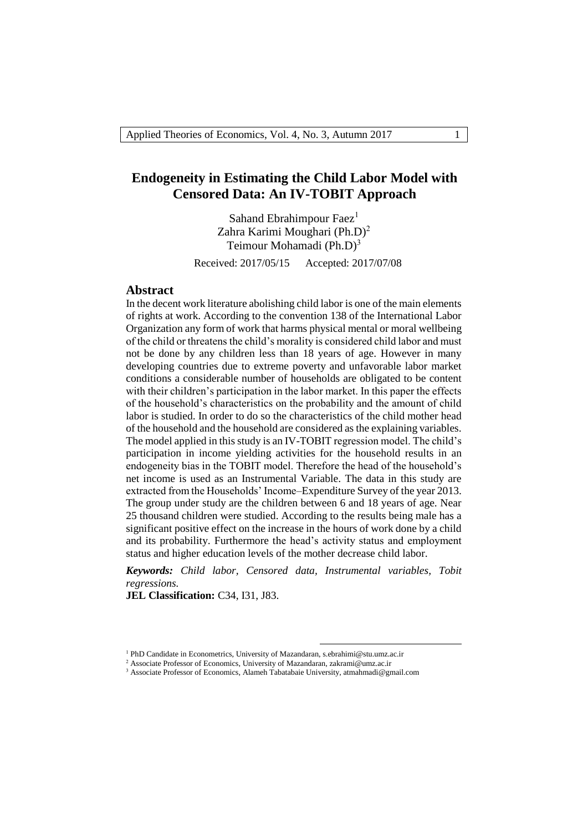## **Endogeneity in Estimating the Child Labor Model with Censored Data: An IV-TOBIT Approach**

Sahand Ebrahimpour Faez $<sup>1</sup>$ </sup> Zahra Karimi Moughari (Ph.D)<sup>2</sup> Teimour Mohamadi  $(Ph.D)<sup>3</sup>$ 

Received: 2017/05/15 Accepted: 2017/07/08

#### **Abstract**

In the decent work literature abolishing child labor is one of the main elements of rights at work. According to the convention 138 of the International Labor Organization any form of work that harms physical mental or moral wellbeing of the child or threatens the child's morality is considered child labor and must not be done by any children less than 18 years of age. However in many developing countries due to extreme poverty and unfavorable labor market conditions a considerable number of households are obligated to be content with their children's participation in the labor market. In this paper the effects of the household's characteristics on the probability and the amount of child labor is studied. In order to do so the characteristics of the child mother head of the household and the household are considered as the explaining variables. The model applied in this study is an IV-TOBIT regression model. The child's participation in income yielding activities for the household results in an endogeneity bias in the TOBIT model. Therefore the head of the household's net income is used as an Instrumental Variable. The data in this study are extracted from the Households' Income–Expenditure Survey of the year 2013. The group under study are the children between 6 and 18 years of age. Near 25 thousand children were studied. According to the results being male has a significant positive effect on the increase in the hours of work done by a child and its probability. Furthermore the head's activity status and employment status and higher education levels of the mother decrease child labor.

*Keywords: Child labor, Censored data, Instrumental variables, Tobit regressions.*

1

**JEL Classification:** C34, I31, J83.

<sup>&</sup>lt;sup>1</sup> PhD Candidate in Econometrics, University of Mazandaran, s.ebrahimi@stu.umz.ac.ir

<sup>&</sup>lt;sup>2</sup> Associate Professor of Economics, University of Mazandaran, zakrami@umz.ac.ir

<sup>3</sup> Associate Professor of Economics, Alameh Tabatabaie University, atmahmadi@gmail.com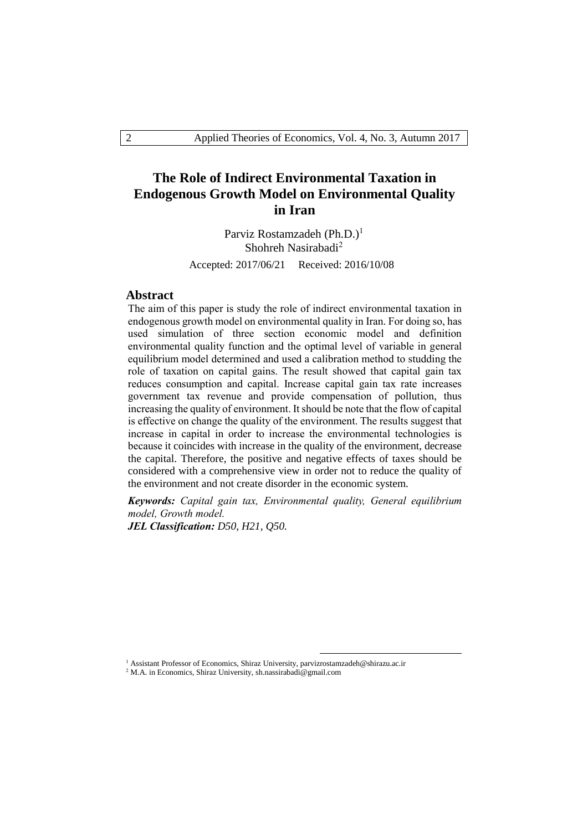# **The Role of Indirect Environmental Taxation in Endogenous Growth Model on Environmental Quality in Iran**

Parviz Rostamzadeh (Ph.D.)<sup>1</sup> Shohreh Nasirabadi<sup>2</sup>

Accepted: 2017/06/21 Received: 2016/10/08

#### **Abstract**

The aim of this paper is study the role of indirect environmental taxation in endogenous growth model on environmental quality in Iran. For doing so, has used simulation of three section economic model and definition environmental quality function and the optimal level of variable in general equilibrium model determined and used a calibration method to studding the role of taxation on capital gains. The result showed that capital gain tax reduces consumption and capital. Increase capital gain tax rate increases government tax revenue and provide compensation of pollution, thus increasing the quality of environment. It should be note that the flow of capital is effective on change the quality of the environment. The results suggest that increase in capital in order to increase the environmental technologies is because it coincides with increase in the quality of the environment, decrease the capital. Therefore, the positive and negative effects of taxes should be considered with a comprehensive view in order not to reduce the quality of the environment and not create disorder in the economic system.

*Keywords: Capital gain tax, Environmental quality, General equilibrium model, Growth model.*

1

*JEL Classification: D50, H21, Q50.*

<sup>2</sup> M.A. in Economics, Shiraz University, sh.nassirabadi@gmail.com

<sup>&</sup>lt;sup>1</sup> Assistant Professor of Economics, Shiraz University, parvizrostamzadeh@shirazu.ac.ir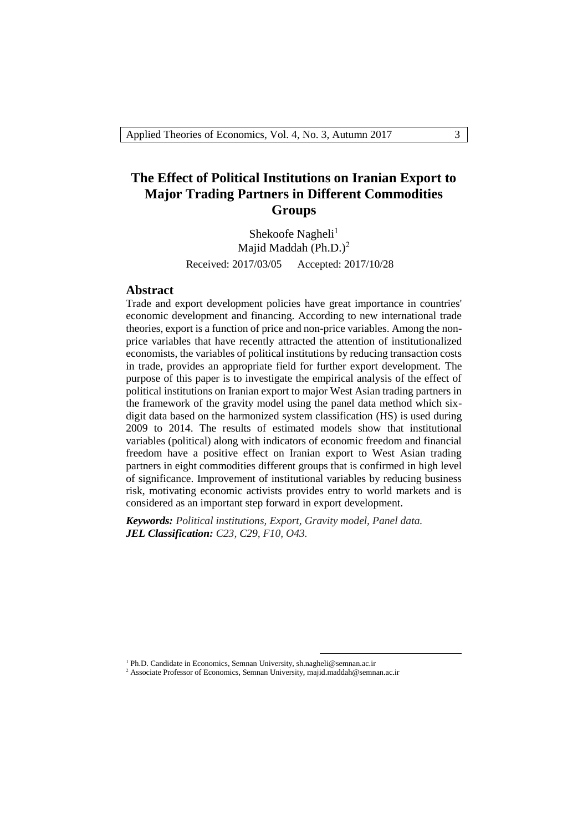# **The Effect of Political Institutions on Iranian Export to Major Trading Partners in Different Commodities Groups**

Shekoofe Nagheli $<sup>1</sup>$ </sup> Majid Maddah (Ph.D.) $^2$ Received: 2017/03/05 Accepted: 2017/10/28

#### **Abstract**

Trade and export development policies have great importance in countries' economic development and financing. According to new international trade theories, export is a function of price and non-price variables. Among the nonprice variables that have recently attracted the attention of institutionalized economists, the variables of political institutions by reducing transaction costs in trade, provides an appropriate field for further export development. The purpose of this paper is to investigate the empirical analysis of the effect of political institutions on Iranian export to major West Asian trading partners in the framework of the gravity model using the panel data method which sixdigit data based on the harmonized system classification (HS) is used during 2009 to 2014. The results of estimated models show that institutional variables (political) along with indicators of economic freedom and financial freedom have a positive effect on Iranian export to West Asian trading partners in eight commodities different groups that is confirmed in high level of significance. Improvement of institutional variables by reducing business risk, motivating economic activists provides entry to world markets and is considered as an important step forward in export development.

*Keywords: Political institutions, Export, Gravity model, Panel data. JEL Classification: C23, C29, F10, O43.*

1

<sup>&</sup>lt;sup>1</sup> Ph.D. Candidate in Economics, Semnan University, sh.nagheli@semnan.ac.ir

<sup>&</sup>lt;sup>2</sup> Associate Professor of Economics, Semnan University, majid.maddah@semnan.ac.ir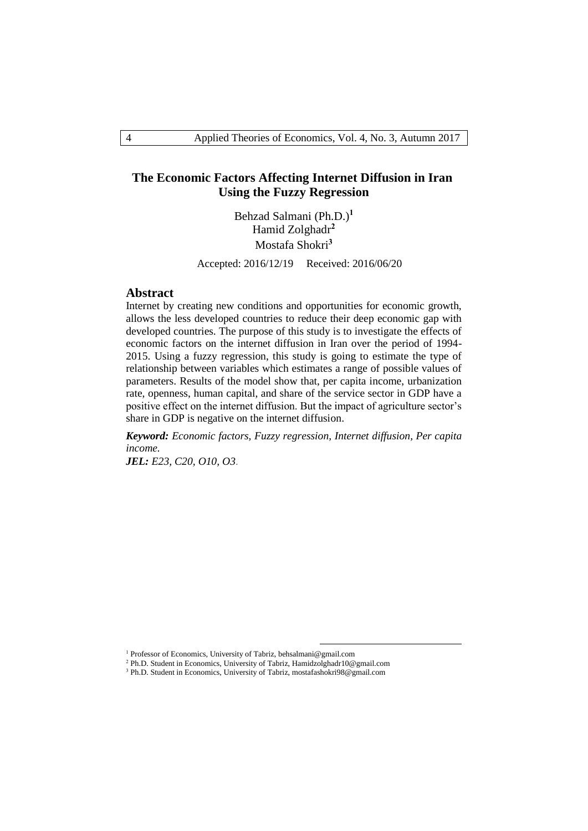### **The Economic Factors Affecting Internet Diffusion in Iran Using the Fuzzy Regression**

Behzad Salmani (Ph.D.)**<sup>1</sup>** Hamid Zolghadr**<sup>2</sup>** Mostafa Shokri**<sup>3</sup>**

Accepted: 2016/12/19 Received: 2016/06/20

#### **Abstract**

Internet by creating new conditions and opportunities for economic growth, allows the less developed countries to reduce their deep economic gap with developed countries. The purpose of this study is to investigate the effects of economic factors on the internet diffusion in Iran over the period of 1994- 2015. Using a fuzzy regression, this study is going to estimate the type of relationship between variables which estimates a range of possible values of parameters. Results of the model show that, per capita income, urbanization rate, openness, human capital, and share of the service sector in GDP have a positive effect on the internet diffusion. But the impact of agriculture sector's share in GDP is negative on the internet diffusion.

*Keyword: Economic factors, Fuzzy regression, Internet diffusion, Per capita income.*

1

*JEL: E23, C20, O10, O3*.

<sup>&</sup>lt;sup>1</sup> Professor of Economics, University of Tabriz, behsalmani@gmail.com

<sup>2</sup> Ph.D. Student in Economics, University of Tabriz, Hamidzolghadr10@gmail.com

<sup>&</sup>lt;sup>3</sup> Ph.D. Student in Economics, University of Tabriz, mostafashokri98@gmail.com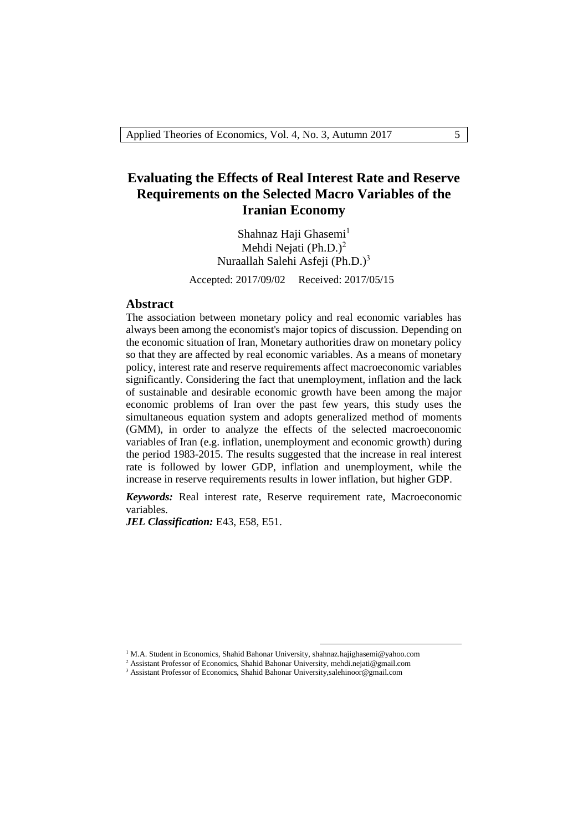# **Evaluating the Effects of Real Interest Rate and Reserve Requirements on the Selected Macro Variables of the Iranian Economy**

Shahnaz Haji Ghasemi $<sup>1</sup>$ </sup> Mehdi Nejati (Ph.D.)<sup>2</sup> Nuraallah Salehi Asfeji (Ph.D.) 3 Accepted: 2017/09/02 Received: 2017/05/15

#### **Abstract**

The association between monetary policy and real economic variables has always been among the economist's major topics of discussion. Depending on the economic situation of Iran, Monetary authorities draw on monetary policy so that they are affected by real economic variables. As a means of monetary policy, interest rate and reserve requirements affect macroeconomic variables significantly. Considering the fact that unemployment, inflation and the lack of sustainable and desirable economic growth have been among the major economic problems of Iran over the past few years, this study uses the simultaneous equation system and adopts generalized method of moments (GMM), in order to analyze the effects of the selected macroeconomic variables of Iran (e.g. inflation, unemployment and economic growth) during the period 1983-2015. The results suggested that the increase in real interest rate is followed by lower GDP, inflation and unemployment, while the increase in reserve requirements results in lower inflation, but higher GDP.

*Keywords:* Real interest rate, Reserve requirement rate, Macroeconomic variables.

JEL Classification: E43, E58, E51.

1

<sup>&</sup>lt;sup>1</sup> M.A. Student in Economics, Shahid Bahonar University, shahnaz.hajighasemi@yahoo.com

<sup>2</sup> Assistant Professor of Economics, Shahid Bahonar University, mehdi.nejati@gmail.com

<sup>3</sup> Assistant Professor of Economics, Shahid Bahonar University,salehinoor@gmail.com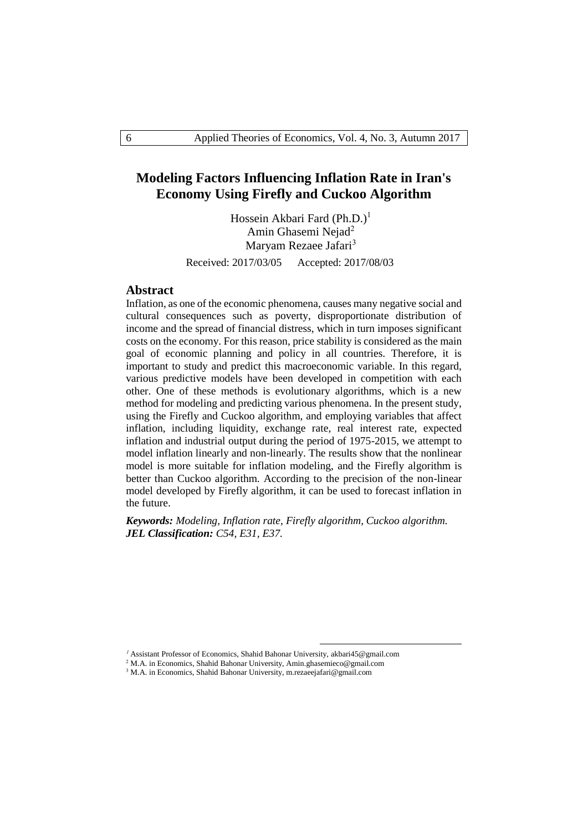# **Modeling Factors Influencing Inflation Rate in Iran's Economy Using Firefly and Cuckoo Algorithm**

Hossein Akbari Fard  $(Ph.D.)<sup>1</sup>$ Amin Ghasemi Nejad<sup>2</sup> Maryam Rezaee Jafari<sup>3</sup>

Received: 2017/03/05 Accepted: 2017/08/03

#### **Abstract**

Inflation, as one of the economic phenomena, causes many negative social and cultural consequences such as poverty, disproportionate distribution of income and the spread of financial distress, which in turn imposes significant costs on the economy. For this reason, price stability is considered as the main goal of economic planning and policy in all countries. Therefore, it is important to study and predict this macroeconomic variable. In this regard, various predictive models have been developed in competition with each other. One of these methods is evolutionary algorithms, which is a new method for modeling and predicting various phenomena. In the present study, using the Firefly and Cuckoo algorithm, and employing variables that affect inflation, including liquidity, exchange rate, real interest rate, expected inflation and industrial output during the period of 1975-2015, we attempt to model inflation linearly and non-linearly. The results show that the nonlinear model is more suitable for inflation modeling, and the Firefly algorithm is better than Cuckoo algorithm. According to the precision of the non-linear model developed by Firefly algorithm, it can be used to forecast inflation in the future.

*Keywords: Modeling, Inflation rate, Firefly algorithm, Cuckoo algorithm. JEL Classification: C54, E31, E37.*

1

<sup>&</sup>lt;sup>1</sup> Assistant Professor of Economics, Shahid Bahonar University, akbari45@gmail.com

<sup>2</sup> M.A. in Economics, Shahid Bahonar University, Amin.ghasemieco@gmail.com

<sup>3</sup> M.A. in Economics, Shahid Bahonar University, m.rezaeejafari@gmail.com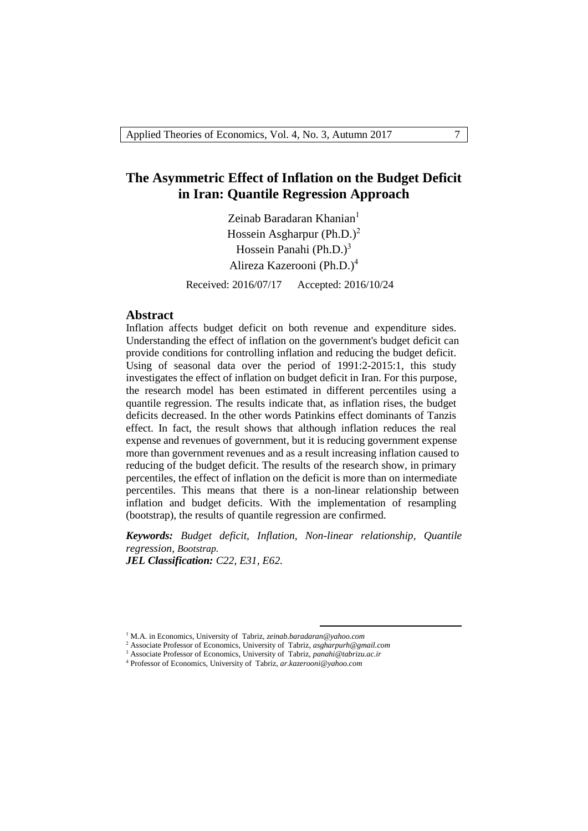# **The Asymmetric Effect of Inflation on the Budget Deficit in Iran: Quantile Regression Approach**

Zeinab Baradaran Khanian<sup>1</sup> Hossein Asgharpur (Ph.D.)<sup>2</sup> Hossein Panahi (Ph.D.) $3$ Alireza Kazerooni (Ph.D.)<sup>4</sup>

Received: 2016/07/17 Accepted: 2016/10/24

#### **Abstract**

Inflation affects budget deficit on both revenue and expenditure sides. Understanding the effect of inflation on the government's budget deficit can provide conditions for controlling inflation and reducing the budget deficit. Using of seasonal data over the period of 1991:2-2015:1, this study investigates the effect of inflation on budget deficit in Iran. For this purpose, the research model has been estimated in different percentiles using a quantile regression. The results indicate that, as inflation rises, the budget deficits decreased. In the other words Patinkins effect dominants of Tanzis effect. In fact, the result shows that although inflation reduces the real expense and revenues of government, but it is reducing government expense more than government revenues and as a result increasing inflation caused to reducing of the budget deficit. The results of the research show, in primary percentiles, the effect of inflation on the deficit is more than on intermediate percentiles. This means that there is a non-linear relationship between inflation and budget deficits. With the implementation of resampling (bootstrap), the results of quantile regression are confirmed.

*Keywords: Budget deficit, Inflation, Non-linear relationship, Quantile regression, Bootstrap.*

1

*JEL Classification: C22, E31, E62.*

<sup>1</sup> M.A. in Economics, University of Tabriz, *zeinab.baradaran@yahoo.com*

<sup>2</sup> Associate Professor of Economics, University of Tabriz, *asgharpurh@gmail.com*

<sup>&</sup>lt;sup>3</sup> Associate Professor of Economics, University of Tabriz, *[panahi@tabrizu.ac.ir](mailto:panahi@tabrizu.ac.ir)* 

<sup>4</sup> Professor of Economics, University of Tabriz, *ar.kazerooni@yahoo.com*